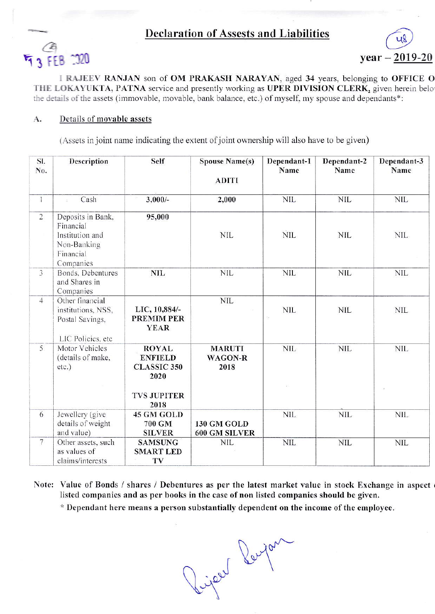## **Declaration of Assests and Liabilities**





I RAJEEV RANJAN son of OM PRAKASH NARAYAN, aged 34 years, belonging to OFFICE O THE LOKAYUKTA, PATNA service and presently working as UPER DIVISION CLERK, given herein belo the details of the assets (immovable, movable, bank balance, etc.) of myself, my spouse and dependants\*:

## Details of movable assets A.

(Assets in joint name indicating the extent of joint ownership will also have to be given)

| SI.<br>No.     | Description                                                                                | Self                                                                                       | <b>Spouse Name(s)</b><br><b>ADITI</b>   | Dependant-1<br>Name            | Dependant-2<br>Name | Dependant-3<br>Name |
|----------------|--------------------------------------------------------------------------------------------|--------------------------------------------------------------------------------------------|-----------------------------------------|--------------------------------|---------------------|---------------------|
| $\mathbf{I}$   | Cash                                                                                       | $3,000/-$                                                                                  | 2,000                                   | <b>NIL</b>                     | <b>NIL</b>          | <b>NIL</b>          |
| $\overline{2}$ | Deposits in Bank,<br>Financial<br>Institution and<br>Non-Banking<br>Financial<br>Companies | 95,000                                                                                     | <b>NIL</b>                              | <b>NIL</b>                     | <b>NIL</b>          | NIL.                |
| $\overline{3}$ | Bonds, Debentures<br>and Shares in<br>Companies                                            | <b>NIL</b>                                                                                 | <b>NIL</b>                              | <b>NIL</b>                     | <b>NIL</b>          | <b>NIL</b>          |
| $\overline{4}$ | Other financial<br>institutions, NSS,<br>Postal Savings,<br>LIC Policies, etc              | LIC, 10,884/-<br>PREMIM PER<br><b>YEAR</b>                                                 | <b>NIL</b>                              | <b>NIL</b><br>$\hat{\gamma}_A$ | <b>NIL</b>          | <b>NIL</b>          |
| 5              | Motor Vehicles<br>(details of make,<br>etc.)                                               | <b>ROYAL</b><br><b>ENFIELD</b><br><b>CLASSIC 350</b><br>2020<br><b>TVS JUPITER</b><br>2018 | <b>MARUTI</b><br><b>WAGON-R</b><br>2018 | <b>NIL</b>                     | <b>NIL</b>          | <b>NIL</b>          |
| 6              | Jewellery (give<br>details of weight<br>and value)                                         | 45 GM GOLD<br>700 GM<br><b>SILVER</b>                                                      | 130 GM GOLD<br>600 GM SILVER            | <b>NIL</b>                     | <b>NIL</b>          | <b>NIL</b>          |
| $\overline{7}$ | Other assets, such<br>as values of<br>claims/interests                                     | <b>SAMSUNG</b><br><b>SMART LED</b><br>TV                                                   | <b>NIL</b>                              | <b>NIL</b>                     | <b>NIL</b>          | <b>NIL</b>          |

Note: Value of Bonds / shares / Debentures as per the latest market value in stock Exchange in aspect listed companies and as per books in the case of non listed companies should be given.

\* Dependant here means a person substantially dependent on the income of the employee.

Riper Perpon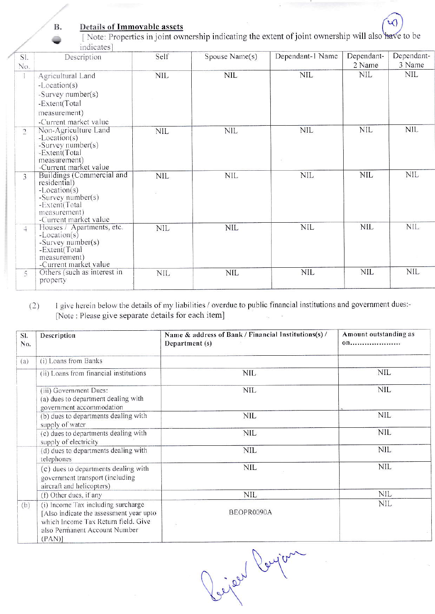## Details of Immovable assets

**B.** 

[Note: Properties in joint ownership indicating the extent of joint ownership will also have to be indicates]

| SI.                  | Description                                                                                                                                | Self       | Spouse Name(s) | Dependant-1 Name | Dependant-<br>2 Name | Dependant-<br>3 Name |
|----------------------|--------------------------------------------------------------------------------------------------------------------------------------------|------------|----------------|------------------|----------------------|----------------------|
| No.<br>$\mathbbm{1}$ | Agricultural Land<br>$-Location(s)$<br>-Survey number(s)<br>-Extent(Total<br>measurement)<br>-Current market value                         | <b>NIL</b> | <b>NIL</b>     | NIL.             | <b>NIL</b>           | <b>NIL</b>           |
| 2                    | Non-Agriculture Land<br>$-Location(s)$<br>-Survey number(s)<br>-Extent(Total<br>measurement)<br>-Current market value                      | <b>NIL</b> | <b>NIL</b>     | <b>NIL</b>       | NIL                  | NIL                  |
| 3                    | Buildings (Commercial and<br>residential)<br>$-Location(s)$<br>-Survey number(s)<br>-Extent(Total<br>measurement)<br>-Current market value | NIL        | <b>NIL</b>     | NIL              | NIL                  | NIL                  |
| $\mathbb{Z}$         | Houses / Apartments, etc.<br>$-Location(s)$<br>-Survey number(s)<br>-Extent(Total<br>measurement)<br>-Current market value                 | <b>NIL</b> | <b>NIL</b>     | <b>NIL</b>       | <b>NIL</b>           | <b>NIL</b>           |
| 5                    | Others (such as interest in<br>property                                                                                                    | <b>NIL</b> | <b>NIL</b>     | <b>NIL</b>       | <b>NIL</b>           | <b>NIL</b>           |

I give herein below the details of my liabilities / overdue to public financial institutions and government dues:- $(2)$ [Note : Please give separate details for each item]

| SI.<br>No. | Description                                                                                                                                                     | Name & address of Bank / Financial Institutions(s) /<br>Department (s) | Amount outstanding as<br>00 |
|------------|-----------------------------------------------------------------------------------------------------------------------------------------------------------------|------------------------------------------------------------------------|-----------------------------|
| (a)        | (i) Loans from Banks                                                                                                                                            |                                                                        |                             |
|            | (ii) Loans from financial institutions                                                                                                                          | <b>NIL</b>                                                             | <b>NIL</b>                  |
|            | (iii) Government Dues:<br>(a) dues to department dealing with<br>government accommodation                                                                       | <b>NIL</b>                                                             | <b>NIL</b>                  |
|            | (b) dues to departments dealing with<br>supply of water                                                                                                         | <b>NIL</b>                                                             | <b>NIL</b>                  |
|            | (c) dues to departments dealing with<br>supply of electricity                                                                                                   | <b>NIL</b>                                                             | <b>NIL</b>                  |
|            | (d) dues to departments dealing with<br>telephones                                                                                                              | <b>NIL</b>                                                             | NIL.                        |
|            | (e) dues to departments dealing with<br>government transport (including<br>aircraft and helicopters)                                                            | <b>NIL</b>                                                             | <b>NIL</b>                  |
|            | (f) Other dues, if any                                                                                                                                          | NIL                                                                    | <b>NIL</b>                  |
| (b)        | (i) Income Tax including surcharge<br>[Also indicate the assessment year upto]<br>which Income Tax Return field. Give<br>also Permanent Account Number<br>(PAN) | BEOPR0090A                                                             | <b>NIL</b>                  |

Rijar Poycan